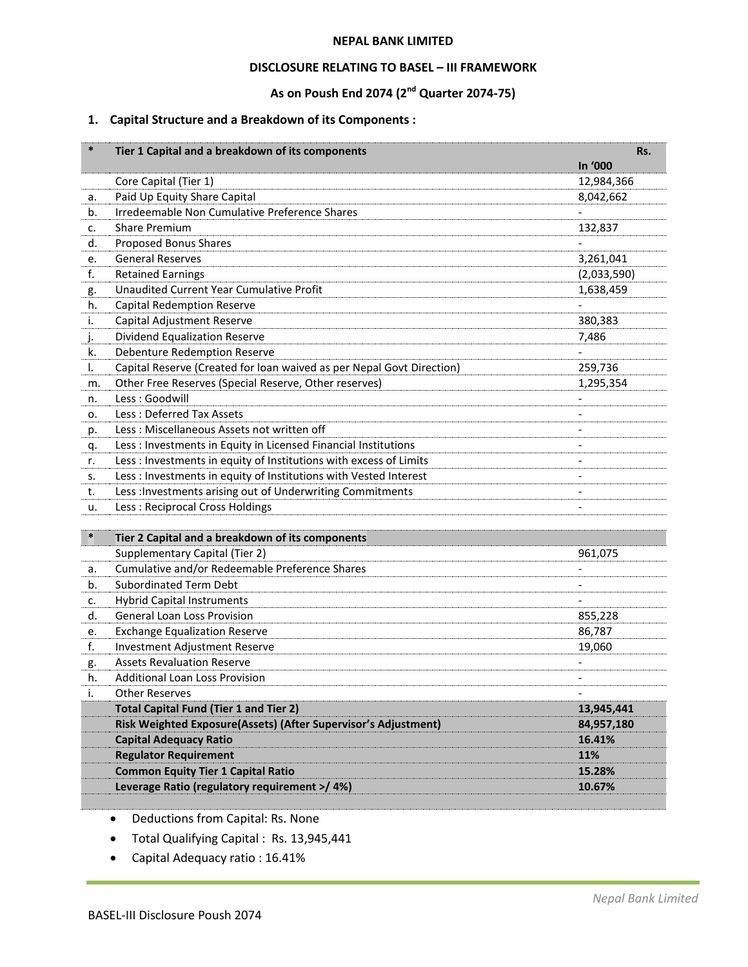#### **NEPAL BANK LIMITED**

## **DISCLOSURE RELATING TO BASEL – III FRAMEWORK**

# **As on Poush End 2074 (2nd Quarter 2074-75)**

# **1. Capital Structure and a Breakdown of its Components :**

| $\ast$ | Tier 1 Capital and a breakdown of its components                      |                | Rs. |
|--------|-----------------------------------------------------------------------|----------------|-----|
|        |                                                                       | In '000        |     |
|        | Core Capital (Tier 1)                                                 | 12,984,366     |     |
| а.     | Paid Up Equity Share Capital                                          | 8,042,662      |     |
| b.     | Irredeemable Non Cumulative Preference Shares                         |                |     |
| c.     | <b>Share Premium</b>                                                  | 132,837        |     |
| d.     | <b>Proposed Bonus Shares</b>                                          |                |     |
| e.     | <b>General Reserves</b>                                               | 3,261,041      |     |
| f.     | <b>Retained Earnings</b>                                              | (2,033,590)    |     |
| g.     | <b>Unaudited Current Year Cumulative Profit</b>                       | 1,638,459      |     |
| h.     | <b>Capital Redemption Reserve</b>                                     |                |     |
| i.     | Capital Adjustment Reserve                                            | 380,383        |     |
| J.     | Dividend Equalization Reserve                                         | 7,486          |     |
| k.     | Debenture Redemption Reserve                                          |                |     |
| I.     | Capital Reserve (Created for loan waived as per Nepal Govt Direction) | 259,736        |     |
| m.     | Other Free Reserves (Special Reserve, Other reserves)                 | 1,295,354      |     |
| n.     | Less: Goodwill                                                        |                |     |
| о.     | Less: Deferred Tax Assets                                             |                |     |
| p.     | Less: Miscellaneous Assets not written off                            |                |     |
| q.     | Less : Investments in Equity in Licensed Financial Institutions       |                |     |
| r.     | Less : Investments in equity of Institutions with excess of Limits    |                |     |
| s.     | Less : Investments in equity of Institutions with Vested Interest     | $\overline{a}$ |     |
| t.     | Less : Investments arising out of Underwriting Commitments            | $\overline{a}$ |     |
| u.     | Less: Reciprocal Cross Holdings                                       |                |     |
|        |                                                                       |                |     |
| $\ast$ | Tier 2 Capital and a breakdown of its components                      |                |     |
|        | Supplementary Capital (Tier 2)                                        | 961,075        |     |
| a.     | Cumulative and/or Redeemable Preference Shares                        |                |     |
| b.     | <b>Subordinated Term Debt</b>                                         |                |     |
| c.     | <b>Hybrid Capital Instruments</b>                                     |                |     |
| d.     | <b>General Loan Loss Provision</b>                                    | 855,228        |     |
| e.     | <b>Exchange Equalization Reserve</b>                                  | 86,787         |     |
| f.     | <b>Investment Adjustment Reserve</b>                                  | 19,060         |     |
| g.     | <b>Assets Revaluation Reserve</b>                                     |                |     |
| h.     | <b>Additional Loan Loss Provision</b>                                 |                |     |
| i.     | <b>Other Reserves</b>                                                 |                |     |
|        | <b>Total Capital Fund (Tier 1 and Tier 2)</b>                         | 13,945,441     |     |
|        | Risk Weighted Exposure(Assets) (After Supervisor's Adjustment)        | 84,957,180     |     |
|        | <b>Capital Adequacy Ratio</b>                                         | 16.41%         |     |
|        | <b>Regulator Requirement</b>                                          | 11%            |     |
|        | <b>Common Equity Tier 1 Capital Ratio</b>                             | 15.28%         |     |
|        | Leverage Ratio (regulatory requirement >/ 4%)                         | 10.67%         |     |

Deductions from Capital: Rs. None

- Total Qualifying Capital : Rs. 13,945,441
- Capital Adequacy ratio : 16.41%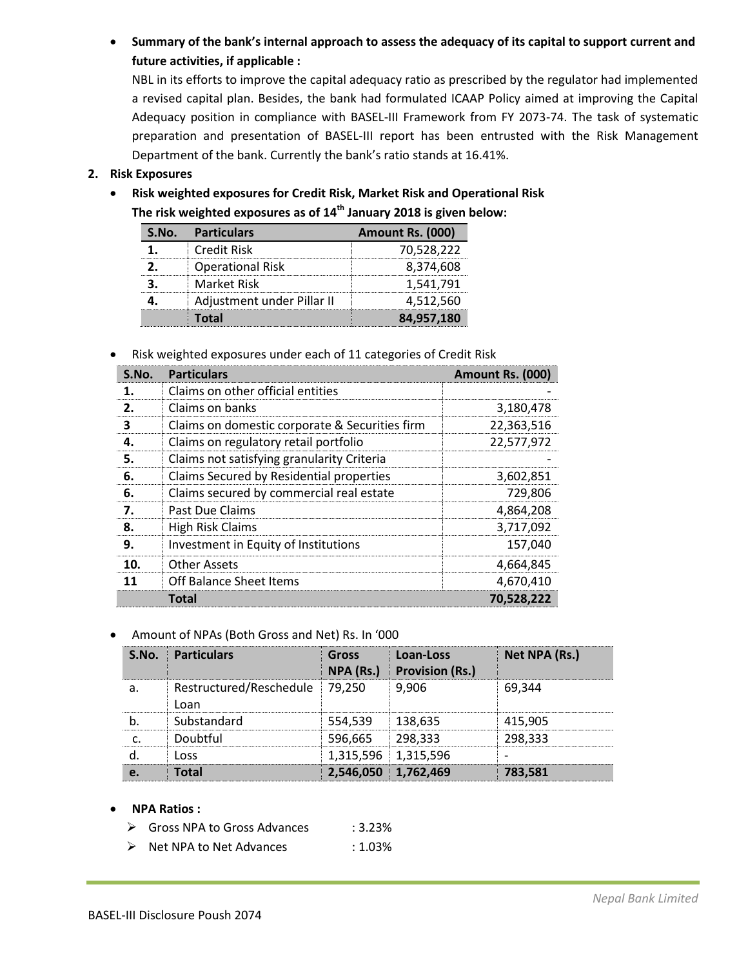**Summary of the bank's internal approach to assess the adequacy of its capital to support current and future activities, if applicable :** 

NBL in its efforts to improve the capital adequacy ratio as prescribed by the regulator had implemented a revised capital plan. Besides, the bank had formulated ICAAP Policy aimed at improving the Capital Adequacy position in compliance with BASEL-III Framework from FY 2073-74. The task of systematic preparation and presentation of BASEL-III report has been entrusted with the Risk Management Department of the bank. Currently the bank's ratio stands at 16.41%.

# **2. Risk Exposures**

 **Risk weighted exposures for Credit Risk, Market Risk and Operational Risk The risk weighted exposures as of 14th January 2018 is given below:** 

| S.No. Particulars          | Amount Rs. (000) |
|----------------------------|------------------|
| <b>Credit Risk</b>         | 70,528,222       |
| <b>Operational Risk</b>    | 8,374,608        |
| Market Risk                | 1,541,791        |
| Adjustment under Pillar II | 4,512,560        |
| Total                      | 84,957,180       |

Risk weighted exposures under each of 11 categories of Credit Risk

| S.No. | <b>Particulars</b>                             | Amount Rs. (000) |
|-------|------------------------------------------------|------------------|
| 1.    | Claims on other official entities              |                  |
| 2.    | Claims on banks                                | 3,180,478        |
| з     | Claims on domestic corporate & Securities firm | 22,363,516       |
| 4.    | Claims on regulatory retail portfolio          | 22,577,972       |
| 5.    | Claims not satisfying granularity Criteria     |                  |
| 6.    | Claims Secured by Residential properties       | 3,602,851        |
| 6.    | Claims secured by commercial real estate       | 729,806          |
| 7.    | Past Due Claims                                | 4,864,208        |
| 8.    | <b>High Risk Claims</b>                        | 3,717,092        |
| 9.    | Investment in Equity of Institutions           | 157,040          |
| 10.   | Other Assets                                   | 4,664,845        |
| 11    | <b>Off Balance Sheet Items</b>                 | 4,670,410        |
|       | Total                                          | 70,528,222       |

#### Amount of NPAs (Both Gross and Net) Rs. In '000

| S.No. | <b>Particulars</b>              | <b>Gross</b><br>NPA (Rs.) | Loan-Loss<br><b>Provision (Rs.)</b> | Net NPA (Rs.) |
|-------|---------------------------------|---------------------------|-------------------------------------|---------------|
| a     | Restructured/Reschedule<br>Loan | 79.250                    | 9.906                               | 69.344        |
|       | Substandard                     | 554.539                   | 138,635                             | 415.905       |
|       | Doubtful                        | 596,665                   | 298.333                             | 298.333       |
|       | l nss                           | 1,315,596 1,315,596       |                                     |               |
|       | Total                           | 2,546,050 1,762,469       |                                     | 783.581       |

#### **NPA Ratios :**

- ▶ Gross NPA to Gross Advances : 3.23%
- ▶ Net NPA to Net Advances : 1.03%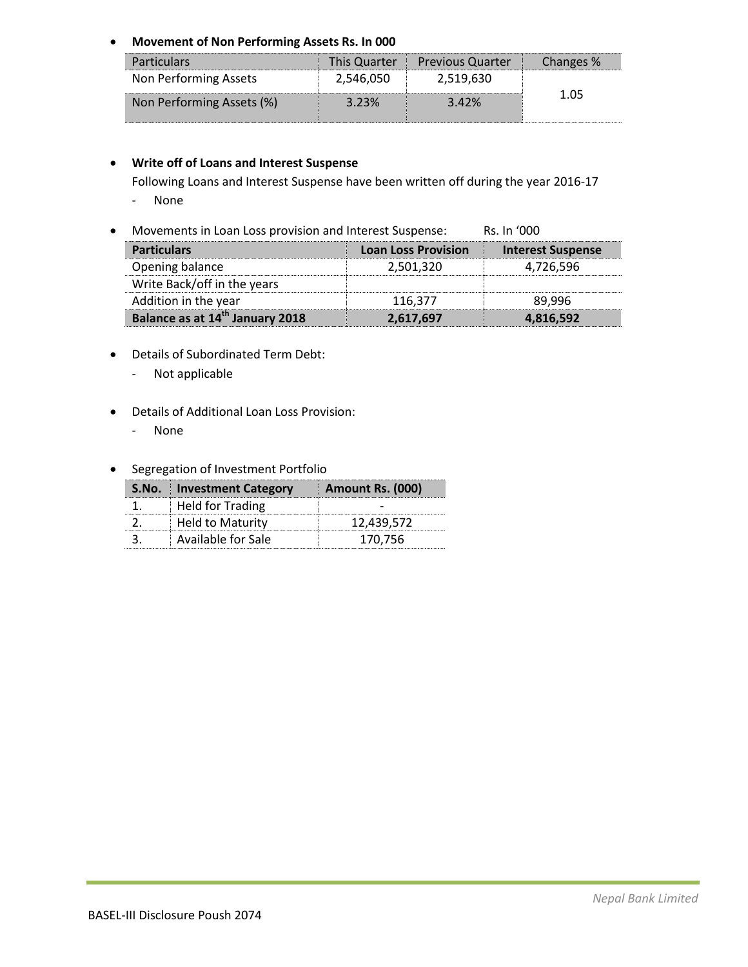**Movement of Non Performing Assets Rs. In 000** 

| <b>Particulars</b>        | <b>This Quarter</b> | <b>Previous Quarter</b> | Changes % |
|---------------------------|---------------------|-------------------------|-----------|
| Non Performing Assets     | 2,546,050           | 2,519,630               |           |
| Non Performing Assets (%) | 3.23%               | 3.42%                   | 1 05      |

# **Write off of Loans and Interest Suspense**

Following Loans and Interest Suspense have been written off during the year 2016-17

- None
- Movements in Loan Loss provision and Interest Suspense: Rs. In '000

| <b>Particulars</b>                          | <b>Loan Loss Provision</b> | <b>Interest Suspense</b> |
|---------------------------------------------|----------------------------|--------------------------|
| Opening balance                             | 2,501,320                  | 4.726.596                |
| Write Back/off in the years                 |                            |                          |
| Addition in the year                        | 116,377                    | 89.996                   |
| Balance as at 14 <sup>th</sup> January 2018 | 2,617,697                  | 4,816,592                |

- Details of Subordinated Term Debt:
	- Not applicable
- Details of Additional Loan Loss Provision:
	- None
- **•** Segregation of Investment Portfolio

| S.No. Investment Category | Amount Rs. (000) |
|---------------------------|------------------|
| <b>Held for Trading</b>   |                  |
| Held to Maturity          | 12,439,572       |
| Available for Sale        | 170.756          |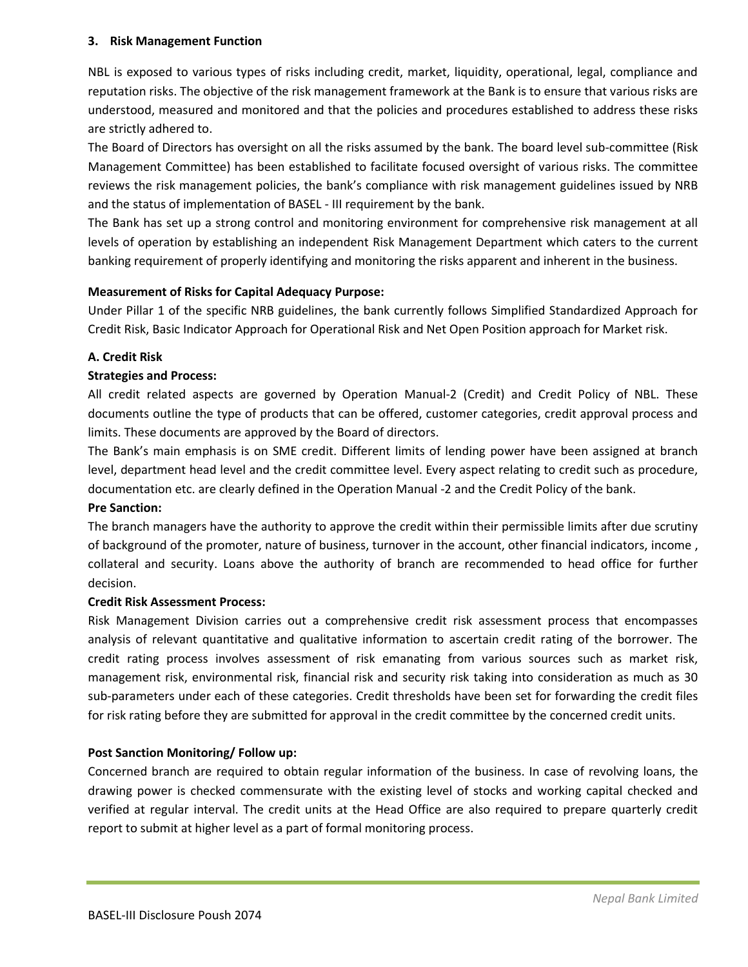## **3. Risk Management Function**

NBL is exposed to various types of risks including credit, market, liquidity, operational, legal, compliance and reputation risks. The objective of the risk management framework at the Bank is to ensure that various risks are understood, measured and monitored and that the policies and procedures established to address these risks are strictly adhered to.

The Board of Directors has oversight on all the risks assumed by the bank. The board level sub-committee (Risk Management Committee) has been established to facilitate focused oversight of various risks. The committee reviews the risk management policies, the bank's compliance with risk management guidelines issued by NRB and the status of implementation of BASEL - III requirement by the bank.

The Bank has set up a strong control and monitoring environment for comprehensive risk management at all levels of operation by establishing an independent Risk Management Department which caters to the current banking requirement of properly identifying and monitoring the risks apparent and inherent in the business.

# **Measurement of Risks for Capital Adequacy Purpose:**

Under Pillar 1 of the specific NRB guidelines, the bank currently follows Simplified Standardized Approach for Credit Risk, Basic Indicator Approach for Operational Risk and Net Open Position approach for Market risk.

# **A. Credit Risk**

# **Strategies and Process:**

All credit related aspects are governed by Operation Manual-2 (Credit) and Credit Policy of NBL. These documents outline the type of products that can be offered, customer categories, credit approval process and limits. These documents are approved by the Board of directors.

The Bank's main emphasis is on SME credit. Different limits of lending power have been assigned at branch level, department head level and the credit committee level. Every aspect relating to credit such as procedure, documentation etc. are clearly defined in the Operation Manual -2 and the Credit Policy of the bank.

# **Pre Sanction:**

The branch managers have the authority to approve the credit within their permissible limits after due scrutiny of background of the promoter, nature of business, turnover in the account, other financial indicators, income , collateral and security. Loans above the authority of branch are recommended to head office for further decision.

## **Credit Risk Assessment Process:**

Risk Management Division carries out a comprehensive credit risk assessment process that encompasses analysis of relevant quantitative and qualitative information to ascertain credit rating of the borrower. The credit rating process involves assessment of risk emanating from various sources such as market risk, management risk, environmental risk, financial risk and security risk taking into consideration as much as 30 sub-parameters under each of these categories. Credit thresholds have been set for forwarding the credit files for risk rating before they are submitted for approval in the credit committee by the concerned credit units.

# **Post Sanction Monitoring/ Follow up:**

Concerned branch are required to obtain regular information of the business. In case of revolving loans, the drawing power is checked commensurate with the existing level of stocks and working capital checked and verified at regular interval. The credit units at the Head Office are also required to prepare quarterly credit report to submit at higher level as a part of formal monitoring process.